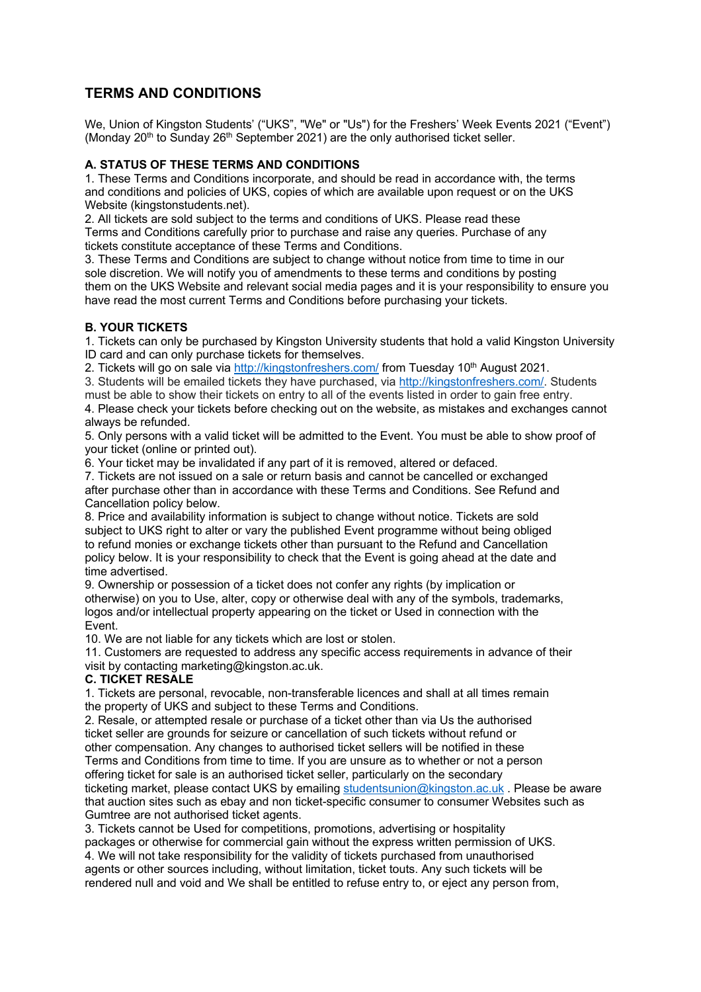# **TERMS AND CONDITIONS**

We, Union of Kingston Students' ("UKS", "We" or "Us") for the Freshers' Week Events 2021 ("Event") (Monday  $20<sup>th</sup>$  to Sunday  $26<sup>th</sup>$  September 2021) are the only authorised ticket seller.

## **A. STATUS OF THESE TERMS AND CONDITIONS**

1. These Terms and Conditions incorporate, and should be read in accordance with, the terms and conditions and policies of UKS, copies of which are available upon request or on the UKS Website (kingstonstudents.net).

2. All tickets are sold subject to the terms and conditions of UKS. Please read these Terms and Conditions carefully prior to purchase and raise any queries. Purchase of any tickets constitute acceptance of these Terms and Conditions.

3. These Terms and Conditions are subject to change without notice from time to time in our sole discretion. We will notify you of amendments to these terms and conditions by posting them on the UKS Website and relevant social media pages and it is your responsibility to ensure you have read the most current Terms and Conditions before purchasing your tickets.

## **B. YOUR TICKETS**

1. Tickets can only be purchased by Kingston University students that hold a valid Kingston University ID card and can only purchase tickets for themselves.

2. Tickets will go on sale via http://kingstonfreshers.com/ from Tuesday 10<sup>th</sup> August 2021.

3. Students will be emailed tickets they have purchased, via http://kingstonfreshers.com/. Students

must be able to show their tickets on entry to all of the events listed in order to gain free entry.

4. Please check your tickets before checking out on the website, as mistakes and exchanges cannot always be refunded.

5. Only persons with a valid ticket will be admitted to the Event. You must be able to show proof of your ticket (online or printed out).

6. Your ticket may be invalidated if any part of it is removed, altered or defaced.

7. Tickets are not issued on a sale or return basis and cannot be cancelled or exchanged after purchase other than in accordance with these Terms and Conditions. See Refund and Cancellation policy below.

8. Price and availability information is subject to change without notice. Tickets are sold subject to UKS right to alter or vary the published Event programme without being obliged to refund monies or exchange tickets other than pursuant to the Refund and Cancellation policy below. It is your responsibility to check that the Event is going ahead at the date and time advertised.

9. Ownership or possession of a ticket does not confer any rights (by implication or otherwise) on you to Use, alter, copy or otherwise deal with any of the symbols, trademarks, logos and/or intellectual property appearing on the ticket or Used in connection with the Event.

10. We are not liable for any tickets which are lost or stolen.

11. Customers are requested to address any specific access requirements in advance of their visit by contacting marketing@kingston.ac.uk.

### **C. TICKET RESALE**

1. Tickets are personal, revocable, non-transferable licences and shall at all times remain the property of UKS and subject to these Terms and Conditions.

2. Resale, or attempted resale or purchase of a ticket other than via Us the authorised ticket seller are grounds for seizure or cancellation of such tickets without refund or other compensation. Any changes to authorised ticket sellers will be notified in these Terms and Conditions from time to time. If you are unsure as to whether or not a person offering ticket for sale is an authorised ticket seller, particularly on the secondary ticketing market, please contact UKS by emailing studentsunion@kingston.ac.uk. Please be aware that auction sites such as ebay and non ticket-specific consumer to consumer Websites such as Gumtree are not authorised ticket agents.

3. Tickets cannot be Used for competitions, promotions, advertising or hospitality packages or otherwise for commercial gain without the express written permission of UKS. 4. We will not take responsibility for the validity of tickets purchased from unauthorised agents or other sources including, without limitation, ticket touts. Any such tickets will be rendered null and void and We shall be entitled to refuse entry to, or eject any person from,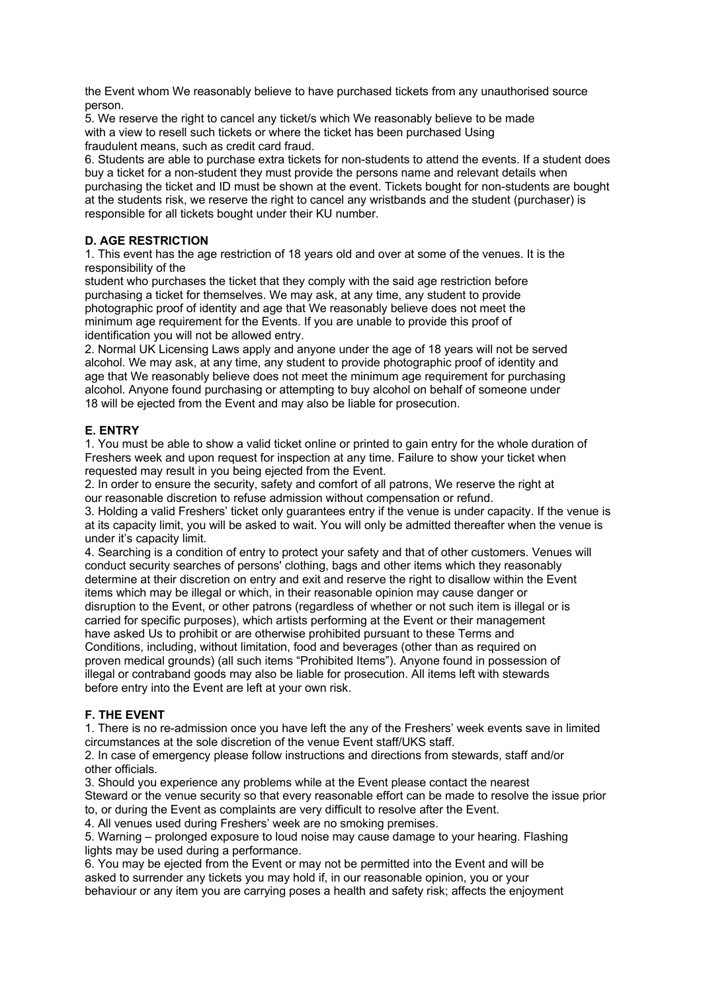the Event whom We reasonably believe to have purchased tickets from any unauthorised source person.

5. We reserve the right to cancel any ticket/s which We reasonably believe to be made with a view to resell such tickets or where the ticket has been purchased Using fraudulent means, such as credit card fraud.

6. Students are able to purchase extra tickets for non-students to attend the events. If a student does buy a ticket for a non-student they must provide the persons name and relevant details when purchasing the ticket and ID must be shown at the event. Tickets bought for non-students are bought at the students risk, we reserve the right to cancel any wristbands and the student (purchaser) is responsible for all tickets bought under their KU number.

# **D. AGE RESTRICTION**

1. This event has the age restriction of 18 years old and over at some of the venues. It is the responsibility of the

student who purchases the ticket that they comply with the said age restriction before purchasing a ticket for themselves. We may ask, at any time, any student to provide photographic proof of identity and age that We reasonably believe does not meet the minimum age requirement for the Events. If you are unable to provide this proof of identification you will not be allowed entry.

2. Normal UK Licensing Laws apply and anyone under the age of 18 years will not be served alcohol. We may ask, at any time, any student to provide photographic proof of identity and age that We reasonably believe does not meet the minimum age requirement for purchasing alcohol. Anyone found purchasing or attempting to buy alcohol on behalf of someone under 18 will be ejected from the Event and may also be liable for prosecution.

### **E. ENTRY**

1. You must be able to show a valid ticket online or printed to gain entry for the whole duration of Freshers week and upon request for inspection at any time. Failure to show your ticket when requested may result in you being ejected from the Event.

2. In order to ensure the security, safety and comfort of all patrons, We reserve the right at our reasonable discretion to refuse admission without compensation or refund.

3. Holding a valid Freshers' ticket only guarantees entry if the venue is under capacity. If the venue is at its capacity limit, you will be asked to wait. You will only be admitted thereafter when the venue is under it's capacity limit.

4. Searching is a condition of entry to protect your safety and that of other customers. Venues will conduct security searches of persons' clothing, bags and other items which they reasonably determine at their discretion on entry and exit and reserve the right to disallow within the Event items which may be illegal or which, in their reasonable opinion may cause danger or disruption to the Event, or other patrons (regardless of whether or not such item is illegal or is carried for specific purposes), which artists performing at the Event or their management have asked Us to prohibit or are otherwise prohibited pursuant to these Terms and Conditions, including, without limitation, food and beverages (other than as required on proven medical grounds) (all such items "Prohibited Items"). Anyone found in possession of illegal or contraband goods may also be liable for prosecution. All items left with stewards before entry into the Event are left at your own risk.

### **F. THE EVENT**

1. There is no re-admission once you have left the any of the Freshers' week events save in limited circumstances at the sole discretion of the venue Event staff/UKS staff.

2. In case of emergency please follow instructions and directions from stewards, staff and/or other officials.

3. Should you experience any problems while at the Event please contact the nearest Steward or the venue security so that every reasonable effort can be made to resolve the issue prior to, or during the Event as complaints are very difficult to resolve after the Event.

4. All venues used during Freshers' week are no smoking premises.

5. Warning – prolonged exposure to loud noise may cause damage to your hearing. Flashing lights may be used during a performance.

6. You may be ejected from the Event or may not be permitted into the Event and will be asked to surrender any tickets you may hold if, in our reasonable opinion, you or your behaviour or any item you are carrying poses a health and safety risk; affects the enjoyment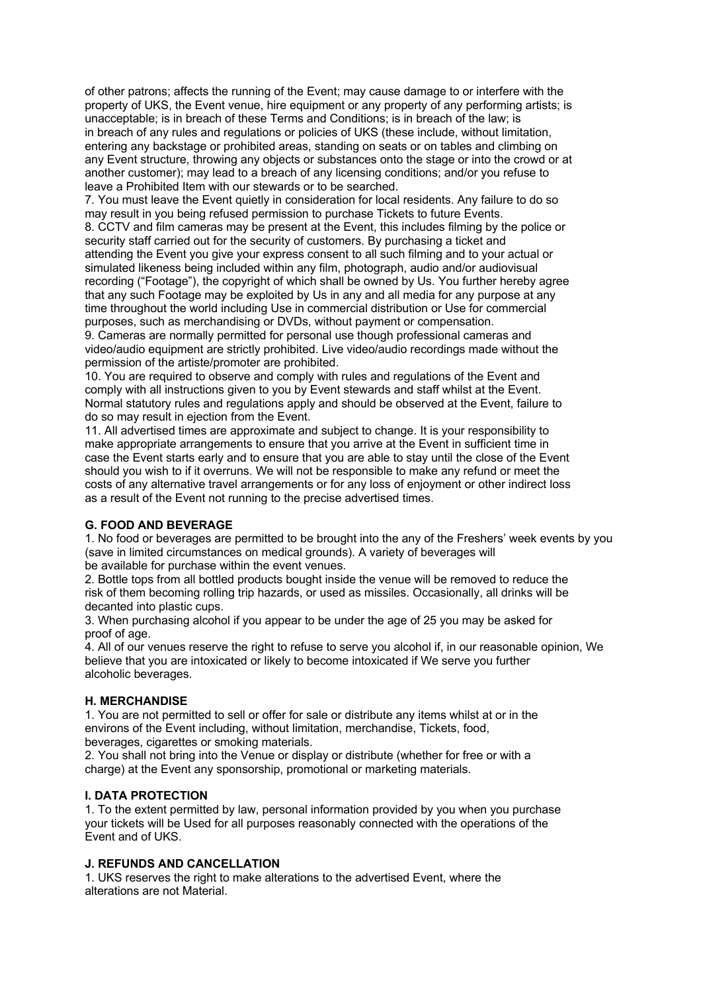of other patrons; affects the running of the Event; may cause damage to or interfere with the property of UKS, the Event venue, hire equipment or any property of any performing artists; is unacceptable; is in breach of these Terms and Conditions; is in breach of the law; is in breach of any rules and regulations or policies of UKS (these include, without limitation, entering any backstage or prohibited areas, standing on seats or on tables and climbing on any Event structure, throwing any objects or substances onto the stage or into the crowd or at another customer); may lead to a breach of any licensing conditions; and/or you refuse to leave a Prohibited Item with our stewards or to be searched.

7. You must leave the Event quietly in consideration for local residents. Any failure to do so may result in you being refused permission to purchase Tickets to future Events. 8. CCTV and film cameras may be present at the Event, this includes filming by the police or security staff carried out for the security of customers. By purchasing a ticket and attending the Event you give your express consent to all such filming and to your actual or simulated likeness being included within any film, photograph, audio and/or audiovisual recording ("Footage"), the copyright of which shall be owned by Us. You further hereby agree that any such Footage may be exploited by Us in any and all media for any purpose at any time throughout the world including Use in commercial distribution or Use for commercial purposes, such as merchandising or DVDs, without payment or compensation.

9. Cameras are normally permitted for personal use though professional cameras and video/audio equipment are strictly prohibited. Live video/audio recordings made without the permission of the artiste/promoter are prohibited.

10. You are required to observe and comply with rules and regulations of the Event and comply with all instructions given to you by Event stewards and staff whilst at the Event. Normal statutory rules and regulations apply and should be observed at the Event, failure to do so may result in ejection from the Event.

11. All advertised times are approximate and subject to change. It is your responsibility to make appropriate arrangements to ensure that you arrive at the Event in sufficient time in case the Event starts early and to ensure that you are able to stay until the close of the Event should you wish to if it overruns. We will not be responsible to make any refund or meet the costs of any alternative travel arrangements or for any loss of enjoyment or other indirect loss as a result of the Event not running to the precise advertised times.

### **G. FOOD AND BEVERAGE**

1. No food or beverages are permitted to be brought into the any of the Freshers' week events by you (save in limited circumstances on medical grounds). A variety of beverages will be available for purchase within the event venues.

2. Bottle tops from all bottled products bought inside the venue will be removed to reduce the risk of them becoming rolling trip hazards, or used as missiles. Occasionally, all drinks will be decanted into plastic cups.

3. When purchasing alcohol if you appear to be under the age of 25 you may be asked for proof of age.

4. All of our venues reserve the right to refuse to serve you alcohol if, in our reasonable opinion, We believe that you are intoxicated or likely to become intoxicated if We serve you further alcoholic beverages.

#### **H. MERCHANDISE**

1. You are not permitted to sell or offer for sale or distribute any items whilst at or in the environs of the Event including, without limitation, merchandise. Tickets, food, beverages, cigarettes or smoking materials.

2. You shall not bring into the Venue or display or distribute (whether for free or with a charge) at the Event any sponsorship, promotional or marketing materials.

#### **I. DATA PROTECTION**

1. To the extent permitted by law, personal information provided by you when you purchase your tickets will be Used for all purposes reasonably connected with the operations of the Event and of UKS.

### **J. REFUNDS AND CANCELLATION**

1. UKS reserves the right to make alterations to the advertised Event, where the alterations are not Material.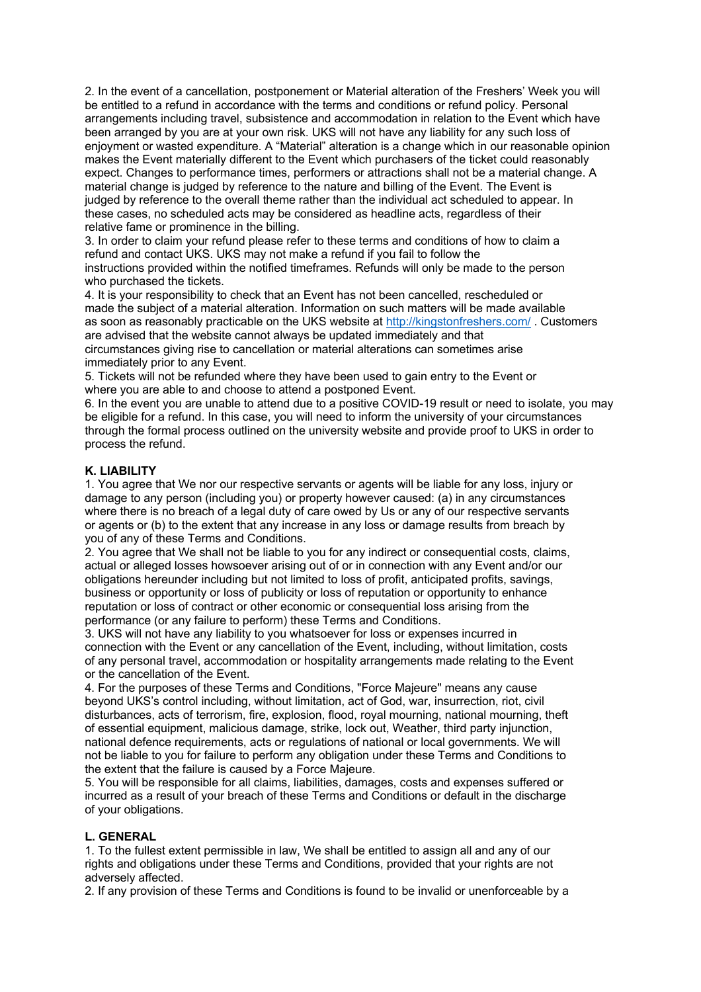2. In the event of a cancellation, postponement or Material alteration of the Freshers' Week you will be entitled to a refund in accordance with the terms and conditions or refund policy. Personal arrangements including travel, subsistence and accommodation in relation to the Event which have been arranged by you are at your own risk. UKS will not have any liability for any such loss of enjoyment or wasted expenditure. A "Material" alteration is a change which in our reasonable opinion makes the Event materially different to the Event which purchasers of the ticket could reasonably expect. Changes to performance times, performers or attractions shall not be a material change. A material change is judged by reference to the nature and billing of the Event. The Event is judged by reference to the overall theme rather than the individual act scheduled to appear. In these cases, no scheduled acts may be considered as headline acts, regardless of their relative fame or prominence in the billing.

3. In order to claim your refund please refer to these terms and conditions of how to claim a refund and contact UKS. UKS may not make a refund if you fail to follow the instructions provided within the notified timeframes. Refunds will only be made to the person who purchased the tickets.

4. It is your responsibility to check that an Event has not been cancelled, rescheduled or made the subject of a material alteration. Information on such matters will be made available as soon as reasonably practicable on the UKS website at http://kingstonfreshers.com/. Customers are advised that the website cannot always be updated immediately and that circumstances giving rise to cancellation or material alterations can sometimes arise immediately prior to any Event.

5. Tickets will not be refunded where they have been used to gain entry to the Event or where you are able to and choose to attend a postponed Event.

6. In the event you are unable to attend due to a positive COVID-19 result or need to isolate, you may be eligible for a refund. In this case, you will need to inform the university of your circumstances through the formal process outlined on the university website and provide proof to UKS in order to process the refund.

### **K. LIABILITY**

1. You agree that We nor our respective servants or agents will be liable for any loss, injury or damage to any person (including you) or property however caused: (a) in any circumstances where there is no breach of a legal duty of care owed by Us or any of our respective servants or agents or (b) to the extent that any increase in any loss or damage results from breach by you of any of these Terms and Conditions.

2. You agree that We shall not be liable to you for any indirect or consequential costs, claims, actual or alleged losses howsoever arising out of or in connection with any Event and/or our obligations hereunder including but not limited to loss of profit, anticipated profits, savings, business or opportunity or loss of publicity or loss of reputation or opportunity to enhance reputation or loss of contract or other economic or consequential loss arising from the performance (or any failure to perform) these Terms and Conditions.

3. UKS will not have any liability to you whatsoever for loss or expenses incurred in connection with the Event or any cancellation of the Event, including, without limitation, costs of any personal travel, accommodation or hospitality arrangements made relating to the Event or the cancellation of the Event.

4. For the purposes of these Terms and Conditions, "Force Majeure" means any cause beyond UKS's control including, without limitation, act of God, war, insurrection, riot, civil disturbances, acts of terrorism, fire, explosion, flood, royal mourning, national mourning, theft of essential equipment, malicious damage, strike, lock out, Weather, third party injunction, national defence requirements, acts or regulations of national or local governments. We will not be liable to you for failure to perform any obligation under these Terms and Conditions to the extent that the failure is caused by a Force Majeure.

5. You will be responsible for all claims, liabilities, damages, costs and expenses suffered or incurred as a result of your breach of these Terms and Conditions or default in the discharge of your obligations.

### **L. GENERAL**

1. To the fullest extent permissible in law, We shall be entitled to assign all and any of our rights and obligations under these Terms and Conditions, provided that your rights are not adversely affected.

2. If any provision of these Terms and Conditions is found to be invalid or unenforceable by a